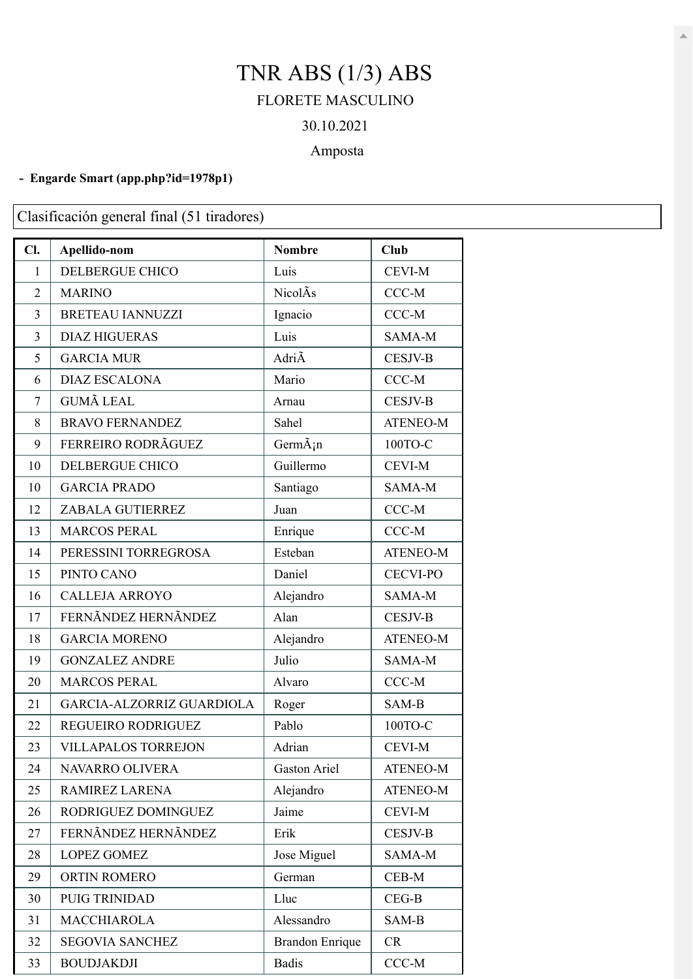## TNR ABS (1/3) ABS FLORETE MASCULINO

# 30.10.2021

### Amposta

#### **- Engarde Smart [\(app.php?id=1978p1\)](https://engarde-service.com/app.php?id=1978p1)**

Clasificación general final (51 tiradores)

| Cl.            | Apellido-nom               | <b>Nombre</b>                  | <b>Club</b>     |
|----------------|----------------------------|--------------------------------|-----------------|
| $\mathbf{1}$   | <b>DELBERGUE CHICO</b>     | Luis                           | <b>CEVI-M</b>   |
| $\overline{2}$ | <b>MARINO</b>              | NicolÂs                        | $CCC-M$         |
| 3              | <b>BRETEAU IANNUZZI</b>    | Ignacio                        | CCC-M           |
| 3              | <b>DIAZ HIGUERAS</b>       | Luis                           | SAMA-M          |
| 5              | <b>GARCIA MUR</b>          | AdriÃ                          | <b>CESJV-B</b>  |
| 6              | <b>DIAZ ESCALONA</b>       | Mario                          | CCC-M           |
| $\tau$         | <b>GUMÃ LEAL</b>           | Arnau                          | <b>CESJV-B</b>  |
| 8              | <b>BRAVO FERNANDEZ</b>     | Sahel                          | <b>ATENEO-M</b> |
| 9              | FERREIRO RODRÃGUEZ         | $Germ\tilde{A}$ <sub>i</sub> n | 100ТО-С         |
| 10             | <b>DELBERGUE CHICO</b>     | Guillermo                      | <b>CEVI-M</b>   |
| 10             | <b>GARCIA PRADO</b>        | Santiago                       | SAMA-M          |
| 12             | ZABALA GUTIERREZ           | Juan                           | $CCC-M$         |
| 13             | <b>MARCOS PERAL</b>        | Enrique                        | $CCC-M$         |
| 14             | PERESSINI TORREGROSA       | Esteban                        | <b>ATENEO-M</b> |
| 15             | PINTO CANO                 | Daniel                         | <b>CECVI-PO</b> |
| 16             | <b>CALLEJA ARROYO</b>      | Alejandro                      | SAMA-M          |
| 17             | FERNÃNDEZ HERNÃNDEZ        | Alan                           | <b>CESJV-B</b>  |
| 18             | <b>GARCIA MORENO</b>       | Alejandro                      | <b>ATENEO-M</b> |
| 19             | <b>GONZALEZ ANDRE</b>      | Julio                          | SAMA-M          |
| 20             | <b>MARCOS PERAL</b>        | Alvaro                         | $CCC-M$         |
| 21             | GARCIA-ALZORRIZ GUARDIOLA  | Roger                          | SAM-B           |
| 22             | REGUEIRO RODRIGUEZ         | Pablo                          | 100ТО-С         |
| 23             | <b>VILLAPALOS TORREJON</b> | Adrian                         | <b>CEVI-M</b>   |
| 24             | NAVARRO OLIVERA            | Gaston Ariel                   | ATENEO-M        |
| 25             | <b>RAMIREZ LARENA</b>      | Alejandro                      | <b>ATENEO-M</b> |
| 26             | RODRIGUEZ DOMINGUEZ        | Jaime                          | CEVI-M          |
| 27             | FERNÃNDEZ HERNÃNDEZ        | Erik                           | <b>CESJV-B</b>  |
| 28             | <b>LOPEZ GOMEZ</b>         | Jose Miguel                    | SAMA-M          |
| 29             | ORTIN ROMERO               | German                         | CEB-M           |
| 30             | PUIG TRINIDAD              | Lluc                           | $CEG-B$         |
| 31             | <b>MACCHIAROLA</b>         | Alessandro                     | SAM-B           |
| 32             | <b>SEGOVIA SANCHEZ</b>     | <b>Brandon Enrique</b>         | CR              |
| 33             | <b>BOUDJAKDJI</b>          | <b>Badis</b>                   | CCC-M           |